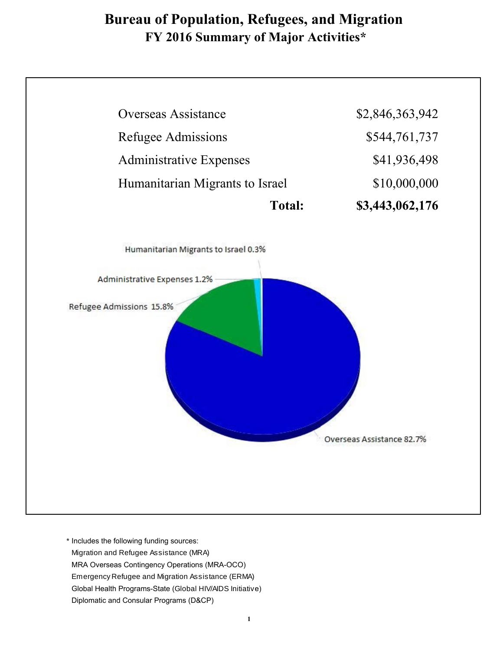# **Bureau of Population, Refugees, and Migration FY 2016 Summary of Major Activities\***

| <b>Overseas Assistance</b>           |               | \$2,846,363,942 |
|--------------------------------------|---------------|-----------------|
| Refugee Admissions                   |               | \$544,761,737   |
| <b>Administrative Expenses</b>       |               | \$41,936,498    |
| Humanitarian Migrants to Israel      |               | \$10,000,000    |
|                                      | <b>Total:</b> | \$3,443,062,176 |
| Humanitarian Migrants to Israel 0.3% |               |                 |
| Administrative Expenses 1.2%         |               |                 |
| Refugee Admissions 15.8%             |               |                 |
|                                      |               |                 |

\* Includes the following funding sources: Migration and Refugee Assistance (MRA) MRA Overseas Contingency Operations (MRA-OCO) Emergency Refugee and Migration Assistance (ERMA) Global Health Programs-State (Global HIV/AIDS Initiativ e) Diplomatic and Consular Programs (D&CP)

Г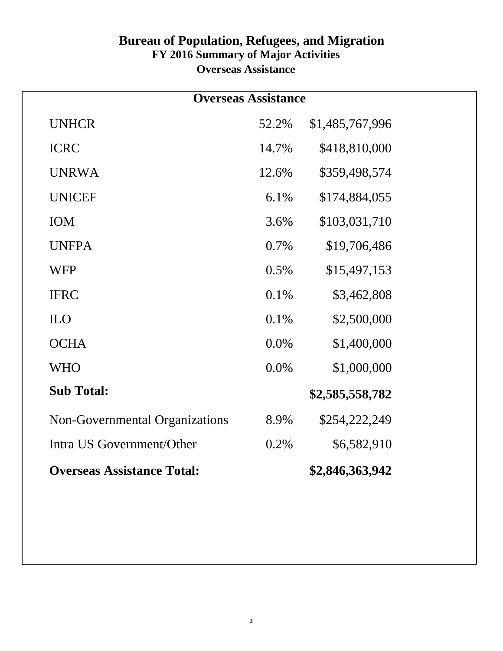#### **Bureau of Population, Refugees, and Migration FY 2016 Summary of Major Activities Overseas Assistance**

| <b>Overseas Assistance</b>        |       |                 |  |  |
|-----------------------------------|-------|-----------------|--|--|
| <b>UNHCR</b>                      | 52.2% | \$1,485,767,996 |  |  |
| <b>ICRC</b>                       | 14.7% | \$418,810,000   |  |  |
| <b>UNRWA</b>                      | 12.6% | \$359,498,574   |  |  |
| <b>UNICEF</b>                     | 6.1%  | \$174,884,055   |  |  |
| IOM                               | 3.6%  | \$103,031,710   |  |  |
| <b>UNFPA</b>                      | 0.7%  | \$19,706,486    |  |  |
| <b>WFP</b>                        | 0.5%  | \$15,497,153    |  |  |
| <b>IFRC</b>                       | 0.1%  | \$3,462,808     |  |  |
| <b>ILO</b>                        | 0.1%  | \$2,500,000     |  |  |
| <b>OCHA</b>                       | 0.0%  | \$1,400,000     |  |  |
| <b>WHO</b>                        | 0.0%  | \$1,000,000     |  |  |
| <b>Sub Total:</b>                 |       | \$2,585,558,782 |  |  |
| Non-Governmental Organizations    | 8.9%  | \$254,222,249   |  |  |
| Intra US Government/Other         | 0.2%  | \$6,582,910     |  |  |
| <b>Overseas Assistance Total:</b> |       | \$2,846,363,942 |  |  |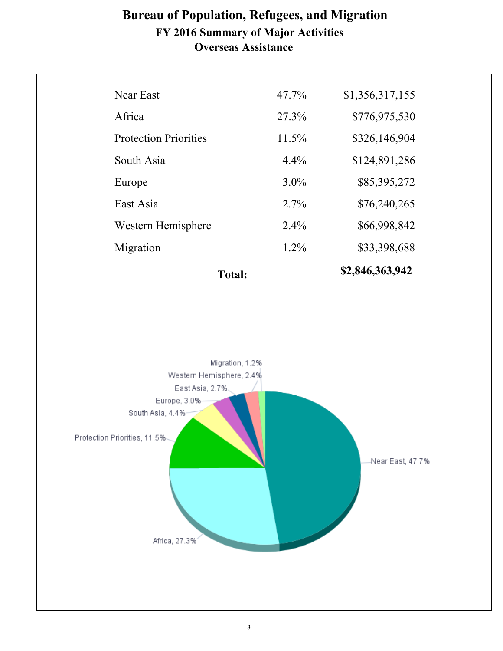#### **Bureau of Population, Refugees, and Migration FY 2016 Summary of Major Activities Overseas Assistance**

|                              | <b>Total:</b> |          | \$2,846,363,942 |
|------------------------------|---------------|----------|-----------------|
| Migration                    |               | $1.2\%$  | \$33,398,688    |
| Western Hemisphere           |               | $2.4\%$  | \$66,998,842    |
| East Asia                    |               | 2.7%     | \$76,240,265    |
| Europe                       |               | $3.0\%$  | \$85,395,272    |
| South Asia                   |               | 4.4%     | \$124,891,286   |
| <b>Protection Priorities</b> |               | 11.5%    | \$326,146,904   |
| Africa                       |               | 27.3%    | \$776,975,530   |
| Near East                    |               | $47.7\%$ | \$1,356,317,155 |
|                              |               |          |                 |

Migration, 1.2% Western Hemisphere, 2.4% East Asia, 2.7%. Europe, 3.0% South Asia, 4.4% Protection Priorities, 11.5%-Near East, 47.7% Africa, 27.3%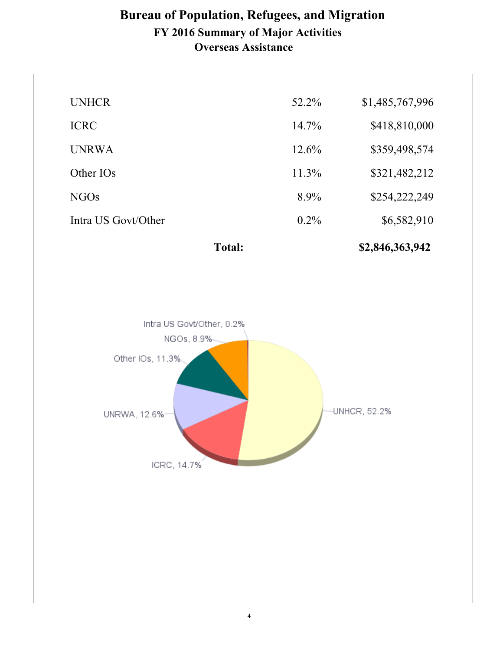## **Overseas Assistance Bureau of Population, Refugees, and Migration FY 2016 Summary of Major Activities**

| <b>UNHCR</b>          | 52.2%    | \$1,485,767,996 |
|-----------------------|----------|-----------------|
| <b>ICRC</b>           | $14.7\%$ | \$418,810,000   |
| <b>UNRWA</b>          | $12.6\%$ | \$359,498,574   |
| Other IO <sub>s</sub> | $11.3\%$ | \$321,482,212   |
| NGO <sub>s</sub>      | $8.9\%$  | \$254,222,249   |
| Intra US Govt/Other   | $0.2\%$  | \$6,582,910     |
|                       |          |                 |





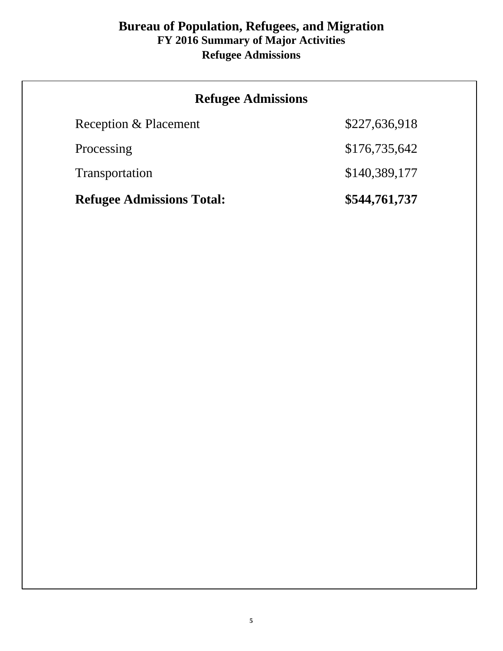#### **Bureau of Population, Refugees, and Migration FY 2016 Summary of Major Activities Refugee Admissions**

| <b>Refugee Admissions</b>        |               |
|----------------------------------|---------------|
| Reception & Placement            | \$227,636,918 |
| Processing                       | \$176,735,642 |
| Transportation                   | \$140,389,177 |
| <b>Refugee Admissions Total:</b> | \$544,761,737 |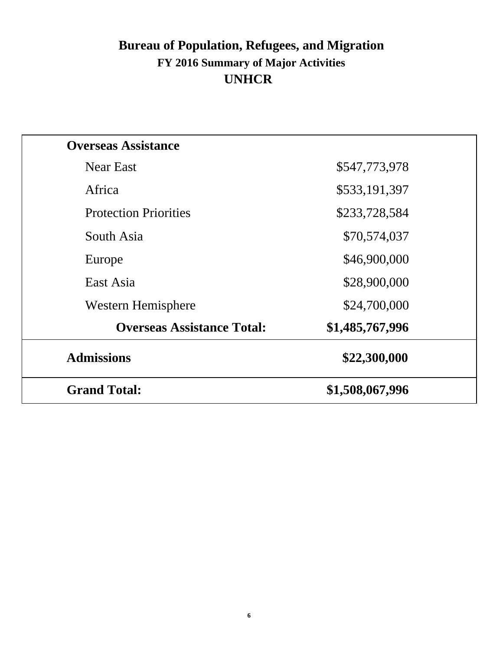# **Bureau of Population, Refugees, and Migration FY 2016 Summary of Major Activities UNHCR**

| <b>Overseas Assistance</b>        |                 |
|-----------------------------------|-----------------|
| Near East                         | \$547,773,978   |
| Africa                            | \$533,191,397   |
| <b>Protection Priorities</b>      | \$233,728,584   |
| South Asia                        | \$70,574,037    |
| Europe                            | \$46,900,000    |
| East Asia                         | \$28,900,000    |
| Western Hemisphere                | \$24,700,000    |
| <b>Overseas Assistance Total:</b> | \$1,485,767,996 |
| <b>Admissions</b>                 | \$22,300,000    |
| <b>Grand Total:</b>               | \$1,508,067,996 |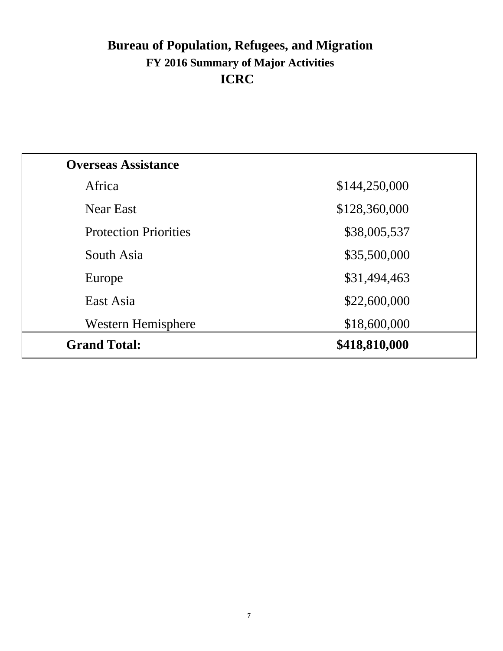# **Bureau of Population, Refugees, and Migration FY 2016 Summary of Major Activities ICRC**

| <b>Overseas Assistance</b>   |               |
|------------------------------|---------------|
| Africa                       | \$144,250,000 |
| <b>Near East</b>             | \$128,360,000 |
| <b>Protection Priorities</b> | \$38,005,537  |
| South Asia                   | \$35,500,000  |
| Europe                       | \$31,494,463  |
| East Asia                    | \$22,600,000  |
| Western Hemisphere           | \$18,600,000  |
| <b>Grand Total:</b>          | \$418,810,000 |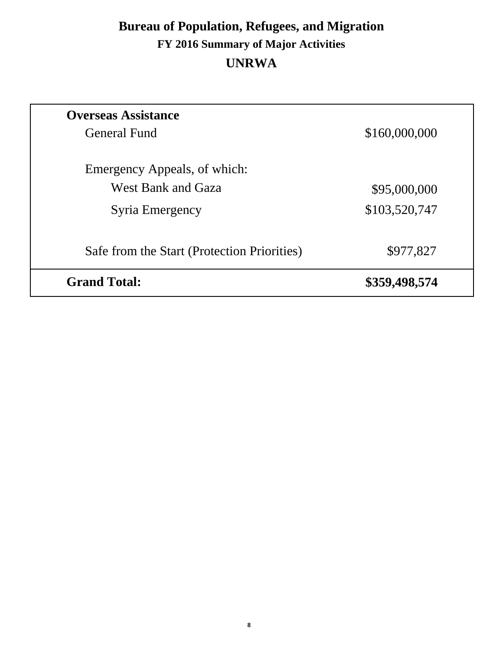# **Bureau of Population, Refugees, and Migration FY 2016 Summary of Major Activities UNRWA**

| <b>Overseas Assistance</b>                  |               |
|---------------------------------------------|---------------|
| <b>General Fund</b>                         | \$160,000,000 |
| Emergency Appeals, of which:                |               |
| West Bank and Gaza                          | \$95,000,000  |
| Syria Emergency                             | \$103,520,747 |
| Safe from the Start (Protection Priorities) | \$977,827     |
| <b>Grand Total:</b>                         | \$359,498,574 |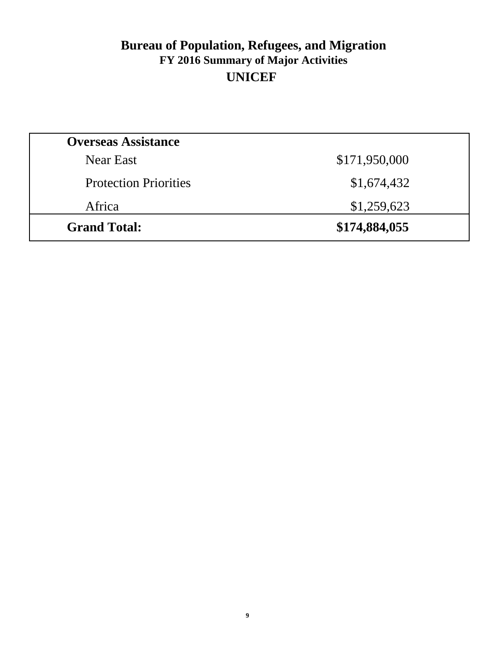## **Bureau of Population, Refugees, and Migration FY 2016 Summary of Major Activities UNICEF**

| <b>Overseas Assistance</b>   |               |
|------------------------------|---------------|
| Near East                    | \$171,950,000 |
| <b>Protection Priorities</b> | \$1,674,432   |
| Africa                       | \$1,259,623   |
| <b>Grand Total:</b>          | \$174,884,055 |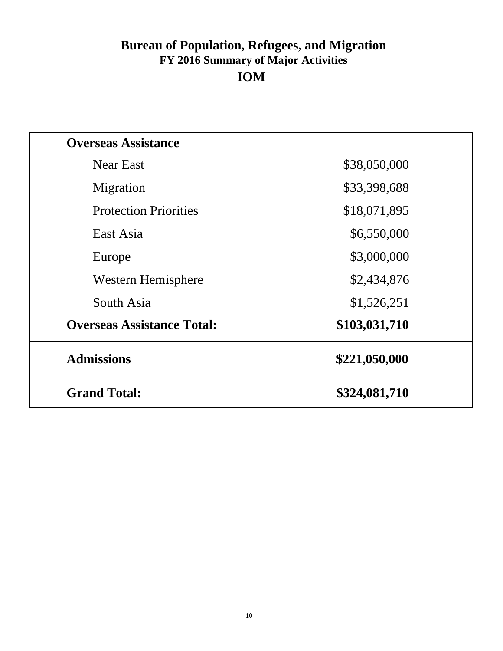## **Bureau of Population, Refugees, and Migration FY 2016 Summary of Major Activities IOM**

| <b>Overseas Assistance</b>        |               |
|-----------------------------------|---------------|
| <b>Near East</b>                  | \$38,050,000  |
| Migration                         | \$33,398,688  |
| <b>Protection Priorities</b>      | \$18,071,895  |
| East Asia                         | \$6,550,000   |
| Europe                            | \$3,000,000   |
| Western Hemisphere                | \$2,434,876   |
| South Asia                        | \$1,526,251   |
| <b>Overseas Assistance Total:</b> | \$103,031,710 |
| <b>Admissions</b>                 | \$221,050,000 |
| <b>Grand Total:</b>               | \$324,081,710 |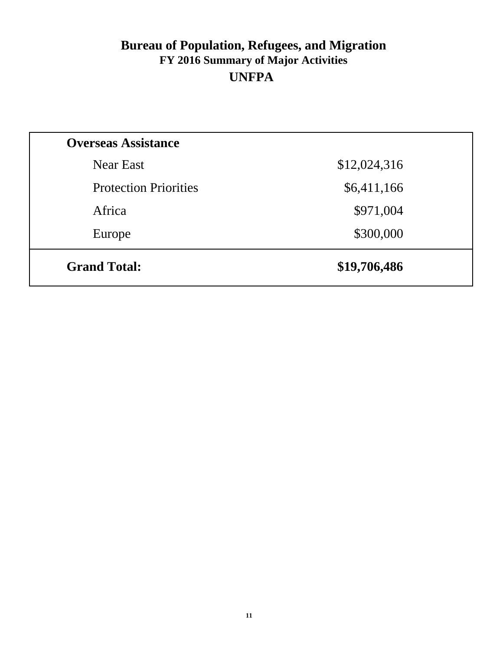## **Bureau of Population, Refugees, and Migration FY 2016 Summary of Major Activities UNFPA**

| <b>Overseas Assistance</b>   |              |
|------------------------------|--------------|
| Near East                    | \$12,024,316 |
| <b>Protection Priorities</b> | \$6,411,166  |
| Africa                       | \$971,004    |
| Europe                       | \$300,000    |
| <b>Grand Total:</b>          | \$19,706,486 |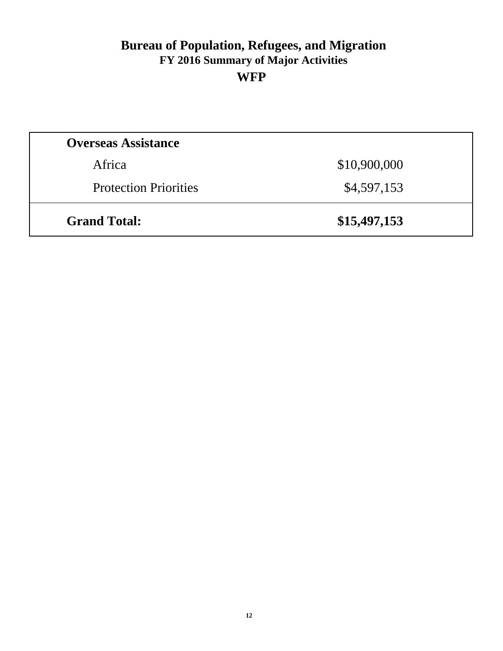### **Bureau of Population, Refugees, and Migration FY 2016 Summary of Major Activities WFP**

| <b>Grand Total:</b>          | \$15,497,153 |
|------------------------------|--------------|
| <b>Protection Priorities</b> | \$4,597,153  |
| Africa                       | \$10,900,000 |
| <b>Overseas Assistance</b>   |              |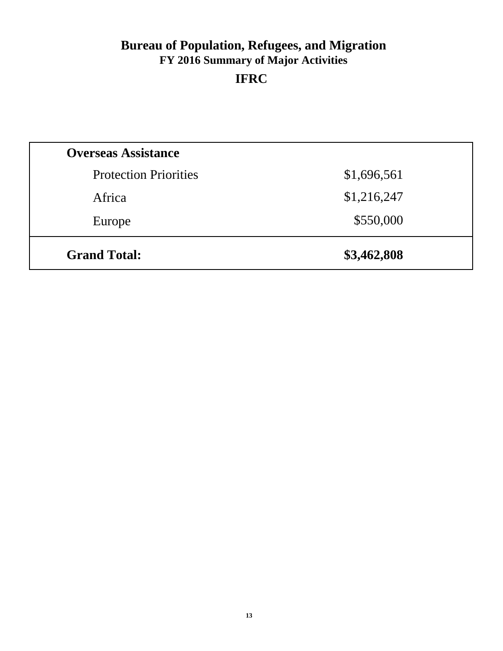# **Bureau of Population, Refugees, and Migration FY 2016 Summary of Major Activities IFRC**

| <b>Grand Total:</b>          | \$3,462,808 |  |
|------------------------------|-------------|--|
| Europe                       | \$550,000   |  |
| Africa                       | \$1,216,247 |  |
| <b>Protection Priorities</b> | \$1,696,561 |  |
| <b>Overseas Assistance</b>   |             |  |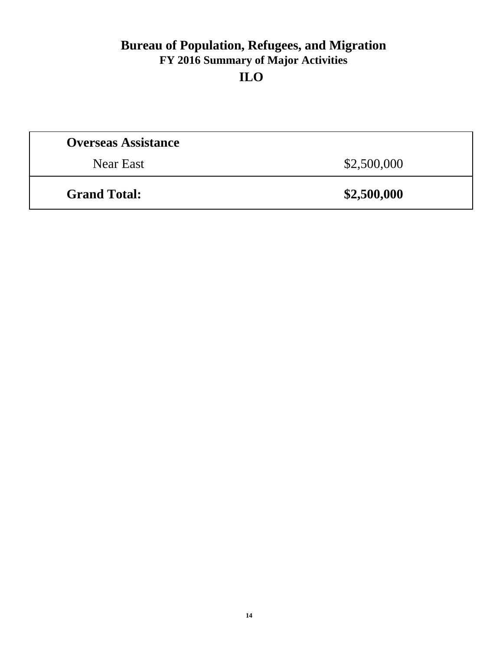## **Bureau of Population, Refugees, and Migration FY 2016 Summary of Major Activities ILO**

| <b>Overseas Assistance</b> |             |
|----------------------------|-------------|
| Near East                  | \$2,500,000 |
| <b>Grand Total:</b>        | \$2,500,000 |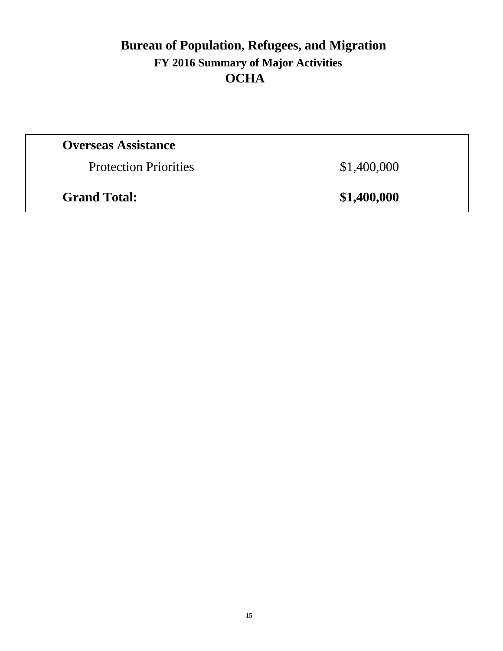## **Bureau of Population, Refugees, and Migration FY 2016 Summary of Major Activities OCHA**

| <b>Overseas Assistance</b>   |             |
|------------------------------|-------------|
| <b>Protection Priorities</b> | \$1,400,000 |
| <b>Grand Total:</b>          | \$1,400,000 |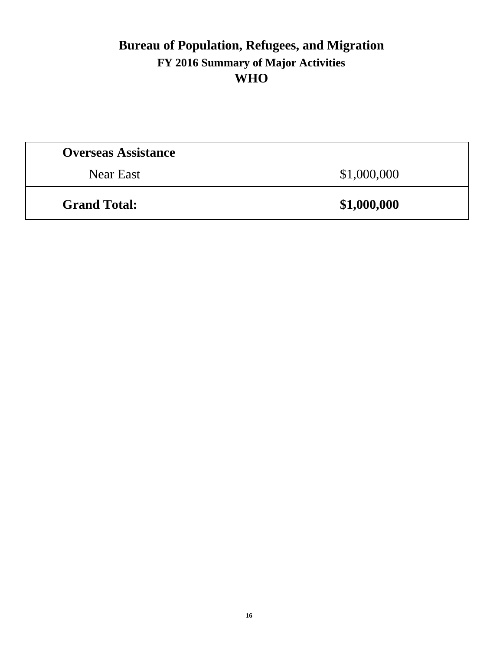## **Bureau of Population, Refugees, and Migration FY 2016 Summary of Major Activities WHO**

| <b>Overseas Assistance</b> |             |
|----------------------------|-------------|
| Near East                  | \$1,000,000 |
| <b>Grand Total:</b>        | \$1,000,000 |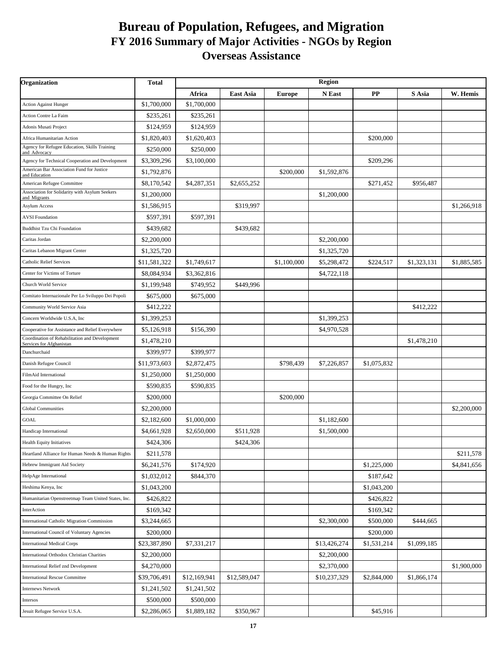#### **Bureau of Population, Refugees, and Migration FY 2016 Summary of Major Activities - NGOs by Region Overseas Assistance**

| Organization                                                               | Total        | <b>Region</b> |              |               |              |             |                |             |
|----------------------------------------------------------------------------|--------------|---------------|--------------|---------------|--------------|-------------|----------------|-------------|
|                                                                            |              | Africa        | East Asia    | <b>Europe</b> | N East       | $\bf PP$    | ${\bf S}$ Asia | W. Hemis    |
| <b>Action Against Hunger</b>                                               | \$1,700,000  | \$1,700,000   |              |               |              |             |                |             |
| <b>Action Contre La Faim</b>                                               | \$235,261    | \$235,261     |              |               |              |             |                |             |
| Adonis Musati Project                                                      | \$124,959    | \$124,959     |              |               |              |             |                |             |
| Africa Humanitarian Action                                                 | \$1,820,403  | \$1,620,403   |              |               |              | \$200,000   |                |             |
| Agency for Refugee Education, Skills Training<br>and Advocacy              | \$250,000    | \$250,000     |              |               |              |             |                |             |
| Agency for Technical Cooperation and Development                           | \$3,309,296  | \$3,100,000   |              |               |              | \$209,296   |                |             |
| American Bar Association Fund for Justice<br>and Education                 | \$1,792,876  |               |              | \$200,000     | \$1,592,876  |             |                |             |
| American Refugee Committee                                                 | \$8,170,542  | \$4,287,351   | \$2,655,252  |               |              | \$271,452   | \$956,487      |             |
| Association for Solidarity with Asylum Seekers<br>and Migrants             | \$1,200,000  |               |              |               | \$1,200,000  |             |                |             |
| <b>Asylum Access</b>                                                       | \$1,586,915  |               | \$319,997    |               |              |             |                | \$1,266,918 |
| <b>AVSI</b> Foundation                                                     | \$597,391    | \$597,391     |              |               |              |             |                |             |
| <b>Buddhist Tzu Chi Foundation</b>                                         | \$439,682    |               | \$439,682    |               |              |             |                |             |
| Caritas Jordan                                                             | \$2,200,000  |               |              |               | \$2,200,000  |             |                |             |
| Caritas Lebanon Migrant Center                                             | \$1,325,720  |               |              |               | \$1,325,720  |             |                |             |
| <b>Catholic Relief Services</b>                                            | \$11,581,322 | \$1,749,617   |              | \$1,100,000   | \$5,298,472  | \$224,517   | \$1,323,131    | \$1,885,585 |
| Center for Victims of Torture                                              | \$8,084,934  | \$3,362,816   |              |               | \$4,722,118  |             |                |             |
| Church World Service                                                       | \$1,199,948  | \$749,952     | \$449,996    |               |              |             |                |             |
| Comitato Internazionale Per Lo Sviluppo Dei Popoli                         | \$675,000    | \$675,000     |              |               |              |             |                |             |
| Community World Service Asia                                               | \$412,222    |               |              |               |              |             | \$412,222      |             |
| Concern Worldwide U.S.A, Inc                                               | \$1,399,253  |               |              |               | \$1,399,253  |             |                |             |
| Cooperative for Assistance and Relief Everywhere                           | \$5,126,918  | \$156,390     |              |               | \$4,970,528  |             |                |             |
| Coordination of Rehabilitation and Development<br>Services for Afghanistan | \$1,478,210  |               |              |               |              |             | \$1,478,210    |             |
| Danchurchaid                                                               | \$399,977    | \$399,977     |              |               |              |             |                |             |
| Danish Refugee Council                                                     | \$11,973,603 | \$2,872,475   |              | \$798,439     | \$7,226,857  | \$1,075,832 |                |             |
| FilmAid International                                                      | \$1,250,000  | \$1,250,000   |              |               |              |             |                |             |
| Food for the Hungry, Inc                                                   | \$590,835    | \$590,835     |              |               |              |             |                |             |
| Georgia Committee On Relief                                                | \$200,000    |               |              | \$200,000     |              |             |                |             |
| <b>Global Communities</b>                                                  | \$2,200,000  |               |              |               |              |             |                | \$2,200,000 |
| GOAL                                                                       | \$2,182,600  | \$1,000,000   |              |               | \$1,182,600  |             |                |             |
| Handicap International                                                     | \$4,661,928  | \$2,650,000   | \$511,928    |               | \$1,500,000  |             |                |             |
| Health Equity Initiatives                                                  | \$424,306    |               | \$424,306    |               |              |             |                |             |
| Heartland Alliance for Human Needs & Human Rights                          | \$211,578    |               |              |               |              |             |                | \$211,578   |
| Hebrew Immigrant Aid Society                                               | \$6,241,576  | \$174,920     |              |               |              | \$1,225,000 |                | \$4,841,656 |
| HelpAge International                                                      | \$1,032,012  | \$844,370     |              |               |              | \$187,642   |                |             |
| Heshima Kenya, Inc                                                         | \$1,043,200  |               |              |               |              | \$1,043,200 |                |             |
| Humanitarian Openstreetmap Team United States, Inc.                        | \$426,822    |               |              |               |              | \$426,822   |                |             |
| InterAction                                                                | \$169,342    |               |              |               |              | \$169,342   |                |             |
| <b>International Catholic Migration Commission</b>                         | \$3,244,665  |               |              |               | \$2,300,000  | \$500,000   | \$444,665      |             |
| <b>International Council of Voluntary Agencies</b>                         | \$200,000    |               |              |               |              | \$200,000   |                |             |
| <b>International Medical Corps</b>                                         | \$23,387,890 | \$7,331,217   |              |               | \$13,426,274 | \$1,531,214 | \$1,099,185    |             |
| <b>International Orthodox Christian Charities</b>                          | \$2,200,000  |               |              |               | \$2,200,000  |             |                |             |
| <b>International Relief znd Development</b>                                | \$4,270,000  |               |              |               | \$2,370,000  |             |                | \$1,900,000 |
| <b>International Rescue Committee</b>                                      | \$39,706,491 | \$12,169,941  | \$12,589,047 |               | \$10,237,329 | \$2,844,000 | \$1,866,174    |             |
| <b>Internews Network</b>                                                   | \$1,241,502  | \$1,241,502   |              |               |              |             |                |             |
| Intersos                                                                   | \$500,000    | \$500,000     |              |               |              |             |                |             |
| Jesuit Refugee Service U.S.A.                                              | \$2,286,065  | \$1,889,182   | \$350,967    |               |              | \$45,916    |                |             |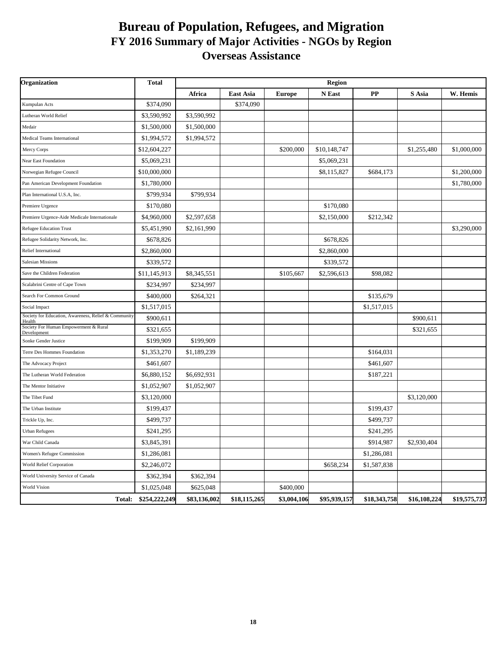#### **Bureau of Population, Refugees, and Migration FY 2016 Summary of Major Activities - NGOs by Region Overseas Assistance**

| Organization                                                   | <b>Total</b>  | <b>Region</b> |                  |               |              |              |              |              |
|----------------------------------------------------------------|---------------|---------------|------------------|---------------|--------------|--------------|--------------|--------------|
|                                                                |               | Africa        | <b>East Asia</b> | <b>Europe</b> | N East       | PP           | S Asia       | W. Hemis     |
| Kumpulan Acts                                                  | \$374,090     |               | \$374,090        |               |              |              |              |              |
| Lutheran World Relief                                          | \$3,590,992   | \$3,590,992   |                  |               |              |              |              |              |
| Medair                                                         | \$1,500,000   | \$1,500,000   |                  |               |              |              |              |              |
| Medical Teams International                                    | \$1,994,572   | \$1,994,572   |                  |               |              |              |              |              |
| Mercy Corps                                                    | \$12,604,227  |               |                  | \$200,000     | \$10,148,747 |              | \$1,255,480  | \$1,000,000  |
| Near East Foundation                                           | \$5,069,231   |               |                  |               | \$5,069,231  |              |              |              |
| Norwegian Refugee Council                                      | \$10,000,000  |               |                  |               | \$8,115,827  | \$684,173    |              | \$1,200,000  |
| Pan American Development Foundation                            | \$1,780,000   |               |                  |               |              |              |              | \$1,780,000  |
| Plan International U.S.A, Inc.                                 | \$799,934     | \$799,934     |                  |               |              |              |              |              |
| Premiere Urgence                                               | \$170,080     |               |                  |               | \$170,080    |              |              |              |
| Premiere Urgence-Aide Medicale Internationale                  | \$4,960,000   | \$2,597,658   |                  |               | \$2,150,000  | \$212,342    |              |              |
| <b>Refugee Education Trust</b>                                 | \$5,451,990   | \$2,161,990   |                  |               |              |              |              | \$3,290,000  |
| Refugee Solidarity Network, Inc.                               | \$678,826     |               |                  |               | \$678,826    |              |              |              |
| <b>Relief International</b>                                    | \$2,860,000   |               |                  |               | \$2,860,000  |              |              |              |
| <b>Salesian Missions</b>                                       | \$339,572     |               |                  |               | \$339,572    |              |              |              |
| Save the Children Federation                                   | \$11,145,913  | \$8,345,551   |                  | \$105,667     | \$2,596,613  | \$98,082     |              |              |
| Scalabrini Centre of Cape Town                                 | \$234,997     | \$234,997     |                  |               |              |              |              |              |
| Search For Common Ground                                       | \$400,000     | \$264,321     |                  |               |              | \$135,679    |              |              |
| Social Impact                                                  | \$1,517,015   |               |                  |               |              | \$1,517,015  |              |              |
| Society for Education, Awareness, Relief & Community<br>Health | \$900,611     |               |                  |               |              |              | \$900,611    |              |
| Society For Human Empowerment & Rural<br>Development           | \$321,655     |               |                  |               |              |              | \$321,655    |              |
| Sonke Gender Justice                                           | \$199,909     | \$199,909     |                  |               |              |              |              |              |
| Terre Des Hommes Foundation                                    | \$1,353,270   | \$1,189,239   |                  |               |              | \$164,031    |              |              |
| The Advocacy Project                                           | \$461,607     |               |                  |               |              | \$461,607    |              |              |
| The Lutheran World Federation                                  | \$6,880,152   | \$6,692,931   |                  |               |              | \$187,221    |              |              |
| The Mentor Initiative                                          | \$1,052,907   | \$1,052,907   |                  |               |              |              |              |              |
| The Tibet Fund                                                 | \$3,120,000   |               |                  |               |              |              | \$3,120,000  |              |
| The Urban Institute                                            | \$199,437     |               |                  |               |              | \$199,437    |              |              |
| Trickle Up, Inc.                                               | \$499,737     |               |                  |               |              | \$499,737    |              |              |
| <b>Urban Refugees</b>                                          | \$241,295     |               |                  |               |              | \$241,295    |              |              |
| War Child Canada                                               | \$3,845,391   |               |                  |               |              | \$914,987    | \$2,930,404  |              |
| Women's Refugee Commission                                     | \$1,286,081   |               |                  |               |              | \$1,286,081  |              |              |
| World Relief Corporation                                       | \$2,246,072   |               |                  |               | \$658,234    | \$1,587,838  |              |              |
| World University Service of Canada                             | \$362,394     | \$362,394     |                  |               |              |              |              |              |
| <b>World Vision</b>                                            | \$1,025,048   | \$625,048     |                  | \$400,000     |              |              |              |              |
| Total:                                                         | \$254,222,249 | \$83,136,002  | \$18,115,265     | \$3,004,106   | \$95,939,157 | \$18,343,758 | \$16,108,224 | \$19,575,737 |